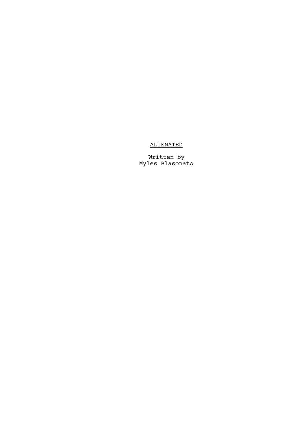## ALIENATED

Written by Myles Blasonato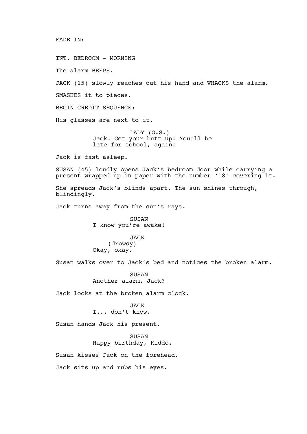## FADE IN:

INT. BEDROOM - MORNING

The alarm BEEPS.

JACK (15) slowly reaches out his hand and WHACKS the alarm.

SMASHES it to pieces.

BEGIN CREDIT SEQUENCE:

His glasses are next to it.

LADY (O.S.) Jack! Get your butt up! You'll be late for school, again!

Jack is fast asleep.

SUSAN (45) loudly opens Jack's bedroom door while carrying a present wrapped up in paper with the number '18' covering it.

She spreads Jack's blinds apart. The sun shines through, blindingly.

Jack turns away from the sun's rays.

SUSAN I know you're awake!

JACK (drowsy) Okay, okay.

Susan walks over to Jack's bed and notices the broken alarm.

SUSAN Another alarm, Jack?

Jack looks at the broken alarm clock.

JACK I... don't know.

Susan hands Jack his present.

SUSAN Happy birthday, Kiddo.

Susan kisses Jack on the forehead.

Jack sits up and rubs his eyes.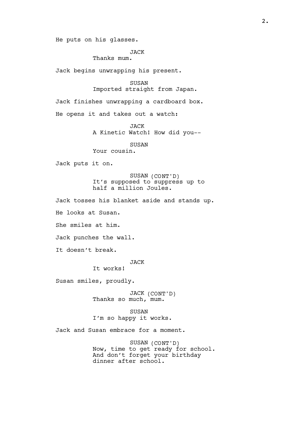He puts on his glasses.

JACK

Thanks mum.

Jack begins unwrapping his present.

SUSAN

Imported straight from Japan.

Jack finishes unwrapping a cardboard box.

He opens it and takes out a watch:

JACK

A Kinetic Watch! How did you--

SUSAN

Your cousin.

Jack puts it on.

SUSAN (CONT'D) It's supposed to suppress up to half a million Joules.

Jack tosses his blanket aside and stands up.

He looks at Susan.

She smiles at him.

Jack punches the wall.

It doesn't break.

JACK

It works!

Susan smiles, proudly.

JACK (CONT'D) Thanks so much, mum.

SUSAN I'm so happy it works.

Jack and Susan embrace for a moment.

SUSAN (CONT'D) Now, time to get`ready for school. And don't forget your birthday dinner after school.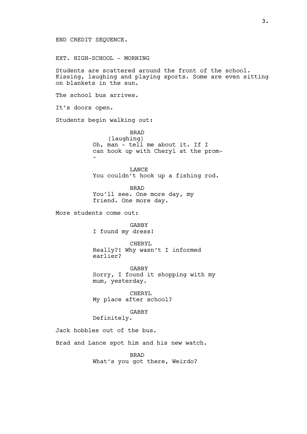## END CREDIT SEQUENCE.

EXT. HIGH-SCHOOL - MORNING

Students are scattered around the front of the school. Kissing, laughing and playing sports. Some are even sitting on blankets in the sun.

The school bus arrives.

It's doors open.

Students begin walking out:

BRAD (laughing) Oh, man - tell me about it. If I can hook up with Cheryl at the prom- -

LANCE You couldn't hook up a fishing rod.

BRAD You'll see. One more day, my friend. One more day.

More students come out:

GABBY I found my dress!

CHERYL Really?! Why wasn't I informed earlier?

GABBY Sorry, I found it shopping with my mum, yesterday.

CHERYL My place after school?

GABBY

Definitely.

Jack hobbles out of the bus.

Brad and Lance spot him and his new watch.

BRAD What's you got there, Weirdo?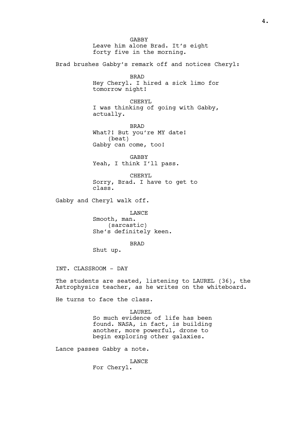**GABBY** Leave him alone Brad. It's eight forty five in the morning. Brad brushes Gabby's remark off and notices Cheryl: BRAD Hey Cheryl. I hired a sick limo for tomorrow night! CHERYL I was thinking of going with Gabby, actually. BRAD What?! But you're MY date! (beat) Gabby can come, too! GABBY Yeah, I think I'll pass. CHERYL Sorry, Brad. I have to get to class. Gabby and Cheryl walk off. LANCE Smooth, man. (sarcastic) She's definitely keen. BRAD Shut up. INT. CLASSROOM - DAY The students are seated, listening to LAUREL (36), the Astrophysics teacher, as he writes on the whiteboard. He turns to face the class. LAUREL So much evidence of life has been found. NASA, in fact, is building another, more powerful, drone to begin exploring other galaxies. Lance passes Gabby a note. LANCE

For Cheryl.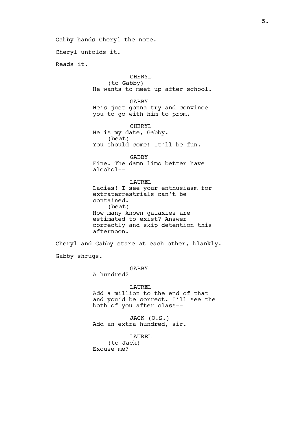Gabby hands Cheryl the note.

Cheryl unfolds it.

Reads it.

CHERYL (to Gabby) He wants to meet up after school.

GABBY He's just gonna try and convince you to go with him to prom.

CHERYL He is my date, Gabby. (beat) You should come! It'll be fun.

GABBY Fine. The damn limo better have alcohol--

LAUREL Ladies! I see your enthusiasm for extraterrestrials can't be contained. (beat) How many known galaxies are estimated to exist? Answer correctly and skip detention this afternoon.

Cheryl and Gabby stare at each other, blankly.

Gabby shrugs.

GABBY

A hundred?

LAUREL Add a million to the end of that and you'd be correct. I'll see the both of you after class--

JACK (O.S.) Add an extra hundred, sir.

LAUREL (to Jack) Excuse me?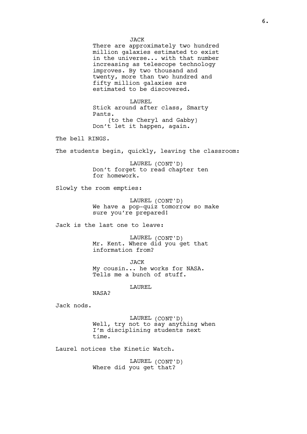**JACK** There are approximately two hundred million galaxies estimated to exist in the universe... with that number increasing as telescope technology improves. By two thousand and twenty, more than two hundred and fifty million galaxies are estimated to be discovered.

LAUREL Stick around after class, Smarty Pants. (to the Cheryl and Gabby) Don't let it happen, again.

The bell RINGS.

The students begin, quickly, leaving the classroom:

LAUREL (CONT'D) Don't forget to read chapter ten for homework.

Slowly the room empties:

LAUREL (CONT'D) We have a pop-quiz tomorrow so make sure you're prepared!

Jack is the last one to leave:

LAUREL (CONT'D) Mr. Kent. Where did you get that information from?

JACK My cousin... he works for NASA. Tells me a bunch of stuff.

LAUREL

NASA?

Jack nods.

LAUREL (CONT'D) Well, try not to say anything when I'm disciplining students next time.

Laurel notices the Kinetic Watch.

LAUREL (CONT'D) Where did you get that?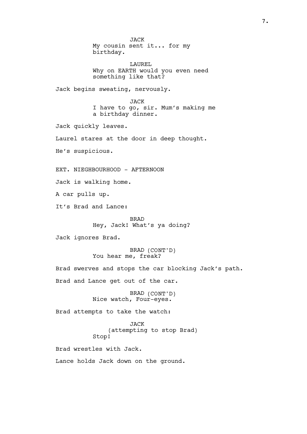JACK My cousin sent it... for my birthday. LAUREL Why on EARTH would you even need something like that? Jack begins sweating, nervously. JACK I have to go, sir. Mum's making me a birthday dinner. Jack quickly leaves. Laurel stares at the door in deep thought. He's suspicious. EXT. NIEGHBOURHOOD - AFTERNOON Jack is walking home. A car pulls up. It's Brad and Lance: BRAD Hey, Jack! What's ya doing? Jack ignores Brad. BRAD (CONT'D) You hear me, freak? Brad swerves and stops the car blocking Jack's path. Brad and Lance get out of the car. BRAD (CONT'D) Nice watch, Four-eyes. Brad attempts to take the watch: JACK (attempting to stop Brad) Stop! Brad wrestles with Jack. Lance holds Jack down on the ground.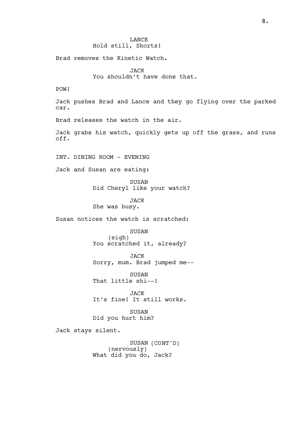**LANCE** Hold still, Shorts!

Brad removes the Kinetic Watch.

JACK You shouldn't have done that.

POW!

Jack pushes Brad and Lance and they go flying over the parked car.

Brad releases the watch in the air.

Jack grabs his watch, quickly gets up off the grass, and runs off.

INT. DINING ROOM - EVENING

Jack and Susan are eating:

SUSAN Did Cheryl like your watch?

JACK She was busy.

Susan notices the watch is scratched:

SUSAN (sigh) You scratched it, already?

JACK Sorry, mum. Brad jumped me--

SUSAN That little shi--!

JACK It's fine! It still works.

SUSAN Did you hurt him?

Jack stays silent.

SUSAN (CONT'D) (nervously) What did you do, Jack?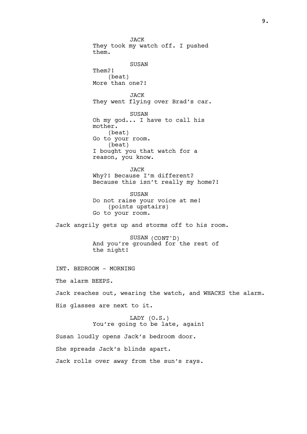JACK They took my watch off. I pushed them. SUSAN Them?! (beat) More than one?! JACK They went flying over Brad's car. SUSAN Oh my god... I have to call his mother. (beat) Go to your room. (beat) I bought you that watch for a reason, you know. JACK Why?! Because I'm different? Because this isn't really my home?! SUSAN Do not raise your voice at me! (points upstairs) Go to your room. Jack angrily gets up and storms off to his room. SUSAN (CONT'D) And you're grounded for the rest of the night! INT. BEDROOM - MORNING The alarm BEEPS. Jack reaches out, wearing the watch, and WHACKS the alarm. His glasses are next to it. LADY (O.S.) You're going to be late, again! Susan loudly opens Jack's bedroom door. She spreads Jack's blinds apart.

Jack rolls over away from the sun's rays.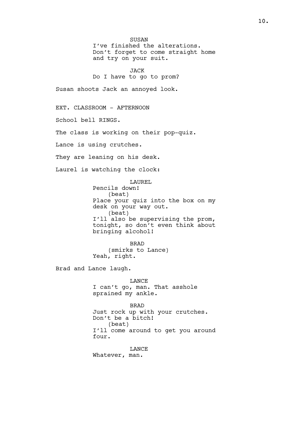SUSAN I've finished the alterations. Don't forget to come straight home and try on your suit.

JACK

Do I have to go to prom?

Susan shoots Jack an annoyed look.

EXT. CLASSROOM - AFTERNOON

School bell RINGS.

The class is working on their pop-quiz.

Lance is using crutches.

They are leaning on his desk.

Laurel is watching the clock:

LAUREL Pencils down! (beat) Place your quiz into the box on my desk on your way out. (beat) I'll also be supervising the prom, tonight, so don't even think about bringing alcohol!

BRAD (smirks to Lance) Yeah, right.

Brad and Lance laugh.

LANCE I can't go, man. That asshole sprained my ankle.

BRAD Just rock up with your crutches. Don't be a bitch! (beat) I'll come around to get you around four.

LANCE Whatever, man.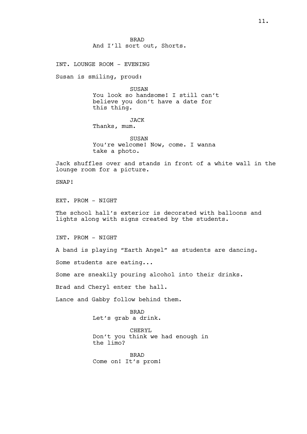BRAD And I'll sort out, Shorts.

INT. LOUNGE ROOM - EVENING

Susan is smiling, proud:

SUSAN You look so handsome! I still can't believe you don't have a date for this thing.

## JACK

Thanks, mum.

SUSAN You're welcome! Now, come. I wanna take a photo.

Jack shuffles over and stands in front of a white wall in the lounge room for a picture.

SNAP!

EXT. PROM - NIGHT

The school hall's exterior is decorated with balloons and lights along with signs created by the students.

INT. PROM - NIGHT

A band is playing "Earth Angel" as students are dancing.

Some students are eating...

Some are sneakily pouring alcohol into their drinks.

Brad and Cheryl enter the hall.

Lance and Gabby follow behind them.

BRAD Let's grab a drink.

CHERYL Don't you think we had enough in the limo?

BRAD Come on! It's prom!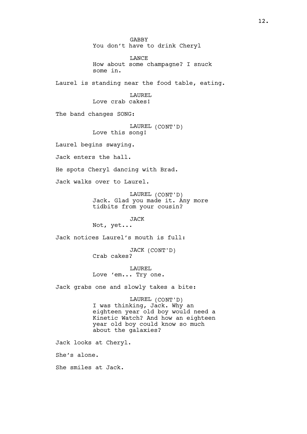GABBY You don't have to drink Cheryl LANCE How about some champagne? I snuck some in. Laurel is standing near the food table, eating. LAUREL Love crab cakes! The band changes SONG: LAUREL (CONT'D) Love this song! Laurel begins swaying. Jack enters the hall. He spots Cheryl dancing with Brad. Jack walks over to Laurel. LAUREL (CONT'D) Jack. Glad you made it. Any more tidbits from your cousin? JACK Not, yet... Jack notices Laurel's mouth is full: JACK (CONT'D) Crab cakes? LAUREL Love 'em... Try one. Jack grabs one and slowly takes a bite: LAUREL (CONT'D) I was thinking, Jack. Why an eighteen year old boy would need a Kinetic Watch? And how an eighteen year old boy could know so much about the galaxies? Jack looks at Cheryl. She's alone. She smiles at Jack.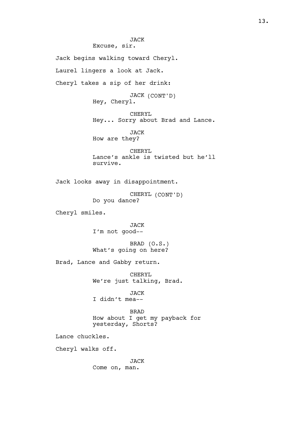JACK Excuse, sir. Jack begins walking toward Cheryl. Laurel lingers a look at Jack. Cheryl takes a sip of her drink: JACK (CONT'D) Hey, Cheryl. CHERYL Hey... Sorry about Brad and Lance. JACK How are they? CHERYL Lance's ankle is twisted but he'll survive. Jack looks away in disappointment. CHERYL (CONT'D) Do you dance? Cheryl smiles. JACK I'm not good-- BRAD (O.S.) What's going on here? Brad, Lance and Gabby return. CHERYL We're just talking, Brad. JACK I didn't mea-- BRAD How about I get my payback for yesterday, Shorts? Lance chuckles. Cheryl walks off. JACK Come on, man.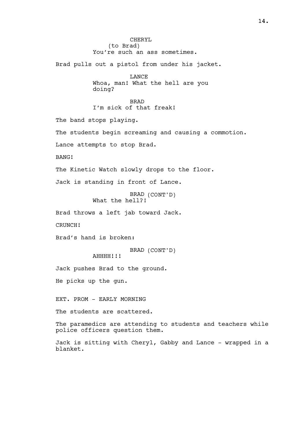CHERYL (to Brad) You're such an ass sometimes. Brad pulls out a pistol from under his jacket. LANCE Whoa, man! What the hell are you doing? BRAD I'm sick of that freak! The band stops playing. The students begin screaming and causing a commotion. Lance attempts to stop Brad. BANG! The Kinetic Watch slowly drops to the floor. Jack is standing in front of Lance. BRAD (CONT'D) What the hell?! Brad throws a left jab toward Jack. CRUNCH! Brad's hand is broken: BRAD (CONT'D) AHHHH!!! Jack pushes Brad to the ground. He picks up the gun. EXT. PROM - EARLY MORNING The students are scattered. The paramedics are attending to students and teachers while police officers question them. Jack is sitting with Cheryl, Gabby and Lance - wrapped in a blanket.